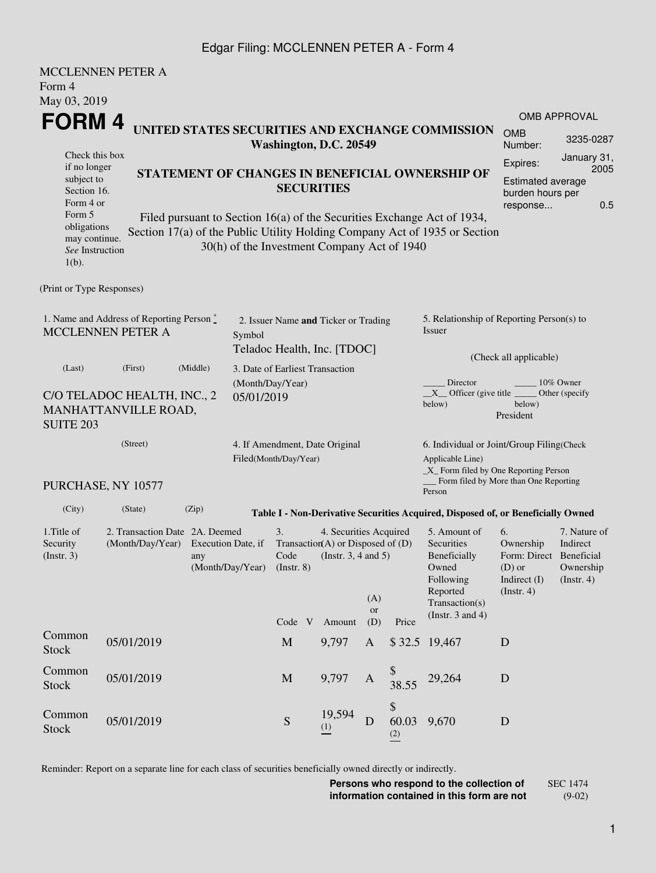## Edgar Filing: MCCLENNEN PETER A - Form 4

|                                                                                                                                               | <b>MCCLENNEN PETER A</b> |                   |  |                                                                     |                                                                                           |                                                   |                        |                                                                                                                                                       |                                                                                              |                                                           |  |
|-----------------------------------------------------------------------------------------------------------------------------------------------|--------------------------|-------------------|--|---------------------------------------------------------------------|-------------------------------------------------------------------------------------------|---------------------------------------------------|------------------------|-------------------------------------------------------------------------------------------------------------------------------------------------------|----------------------------------------------------------------------------------------------|-----------------------------------------------------------|--|
| Form 4                                                                                                                                        |                          |                   |  |                                                                     |                                                                                           |                                                   |                        |                                                                                                                                                       |                                                                                              |                                                           |  |
| May 03, 2019                                                                                                                                  |                          |                   |  |                                                                     |                                                                                           |                                                   |                        |                                                                                                                                                       |                                                                                              | <b>OMB APPROVAL</b>                                       |  |
| FORM 4<br>UNITED STATES SECURITIES AND EXCHANGE COMMISSION<br>Washington, D.C. 20549                                                          |                          |                   |  |                                                                     |                                                                                           |                                                   |                        |                                                                                                                                                       |                                                                                              | 3235-0287                                                 |  |
| Check this box                                                                                                                                |                          |                   |  |                                                                     |                                                                                           |                                                   |                        |                                                                                                                                                       | Number:<br>Expires:                                                                          | January 31,                                               |  |
| if no longer<br>subject to<br>Section 16.<br>Form 4 or                                                                                        |                          | <b>SECURITIES</b> |  |                                                                     | STATEMENT OF CHANGES IN BENEFICIAL OWNERSHIP OF                                           | Estimated average<br>burden hours per<br>response | 2005<br>0.5            |                                                                                                                                                       |                                                                                              |                                                           |  |
| Form 5<br>obligations<br>may continue.<br>See Instruction<br>$1(b)$ .                                                                         |                          |                   |  | 30(h) of the Investment Company Act of 1940                         |                                                                                           |                                                   |                        | Filed pursuant to Section 16(a) of the Securities Exchange Act of 1934,<br>Section 17(a) of the Public Utility Holding Company Act of 1935 or Section |                                                                                              |                                                           |  |
| (Print or Type Responses)                                                                                                                     |                          |                   |  |                                                                     |                                                                                           |                                                   |                        |                                                                                                                                                       |                                                                                              |                                                           |  |
| 1. Name and Address of Reporting Person*<br><b>MCCLENNEN PETER A</b><br>Symbol                                                                |                          |                   |  | 2. Issuer Name and Ticker or Trading<br>Teladoc Health, Inc. [TDOC] |                                                                                           |                                                   |                        | 5. Relationship of Reporting Person(s) to<br>Issuer                                                                                                   |                                                                                              |                                                           |  |
| (Last)                                                                                                                                        | (First)                  | (Middle)          |  | 3. Date of Earliest Transaction                                     |                                                                                           |                                                   | (Check all applicable) |                                                                                                                                                       |                                                                                              |                                                           |  |
| (Month/Day/Year)<br>C/O TELADOC HEALTH, INC., 2<br>05/01/2019<br>MANHATTANVILLE ROAD,<br><b>SUITE 203</b>                                     |                          |                   |  |                                                                     |                                                                                           |                                                   |                        | Director<br>10% Owner<br>$X$ Officer (give title $\overline{\phantom{a}}$<br>Other (specify)<br>below)<br>below)<br>President                         |                                                                                              |                                                           |  |
| (Street)                                                                                                                                      |                          |                   |  | 4. If Amendment, Date Original<br>Filed(Month/Day/Year)             |                                                                                           |                                                   |                        | 6. Individual or Joint/Group Filing(Check                                                                                                             |                                                                                              |                                                           |  |
| PURCHASE, NY 10577                                                                                                                            |                          |                   |  |                                                                     |                                                                                           |                                                   |                        | Applicable Line)<br>_X_ Form filed by One Reporting Person<br>Form filed by More than One Reporting<br>Person                                         |                                                                                              |                                                           |  |
| (City)                                                                                                                                        | (State)                  | (Zip)             |  |                                                                     |                                                                                           |                                                   |                        | Table I - Non-Derivative Securities Acquired, Disposed of, or Beneficially Owned                                                                      |                                                                                              |                                                           |  |
| 1. Title of<br>2. Transaction Date 2A. Deemed<br>Security<br>(Month/Day/Year)<br>Execution Date, if<br>(Insert. 3)<br>any<br>(Month/Day/Year) |                          |                   |  | 3.<br>Code<br>$($ Instr. $8)$                                       | 4. Securities Acquired<br>Transaction(A) or Disposed of $(D)$<br>(Instr. $3, 4$ and $5$ ) | (A)                                               |                        | 5. Amount of<br>Securities<br>Beneficially<br>Owned<br>Following<br>Reported<br>Transaction(s)                                                        | 6.<br>Ownership<br>Form: Direct Beneficial<br>$(D)$ or<br>Indirect $(I)$<br>$($ Instr. 4 $)$ | 7. Nature of<br>Indirect<br>Ownership<br>$($ Instr. 4 $)$ |  |
|                                                                                                                                               |                          |                   |  | Code V                                                              | Amount                                                                                    | <b>or</b><br>(D)                                  | Price                  | (Instr. $3$ and $4$ )                                                                                                                                 |                                                                                              |                                                           |  |
| Common<br><b>Stock</b>                                                                                                                        | 05/01/2019               |                   |  | $\mathbf M$                                                         | 9,797                                                                                     | A                                                 |                        | \$32.5 19,467                                                                                                                                         | D                                                                                            |                                                           |  |
| Common<br><b>Stock</b>                                                                                                                        | 05/01/2019               |                   |  | M                                                                   | 9,797                                                                                     | $\mathbf{A}$                                      | 38.55                  | 29,264                                                                                                                                                | D                                                                                            |                                                           |  |
| Common<br><b>Stock</b>                                                                                                                        | 05/01/2019               |                   |  | S                                                                   | 19,594<br>(1)                                                                             | D                                                 | \$<br>60.03<br>(2)     | 9,670                                                                                                                                                 | D                                                                                            |                                                           |  |

Reminder: Report on a separate line for each class of securities beneficially owned directly or indirectly.

**Persons who respond to the collection of information contained in this form are not** SEC 1474 (9-02)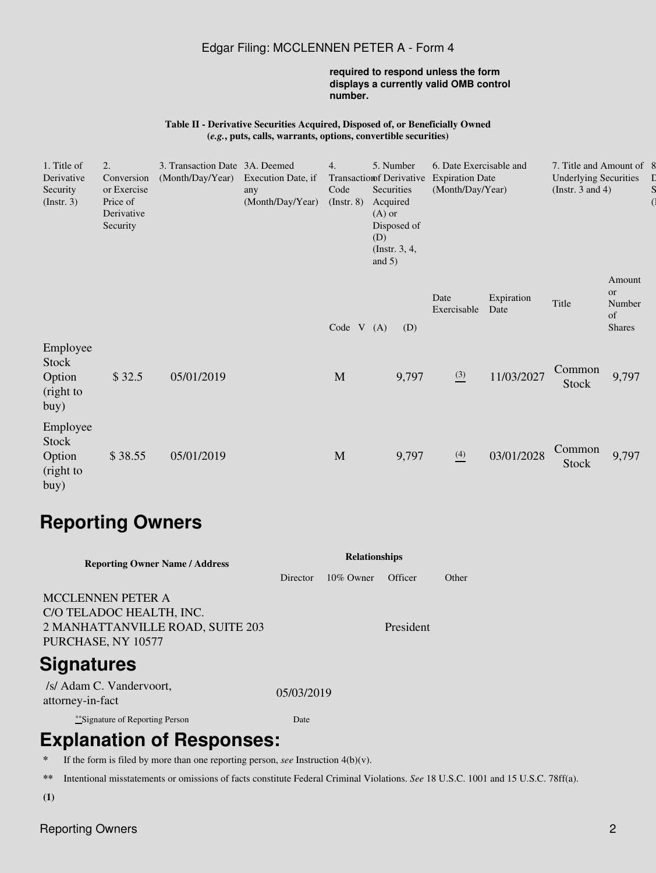### Edgar Filing: MCCLENNEN PETER A - Form 4

#### **required to respond unless the form displays a currently valid OMB control number.**

#### **Table II - Derivative Securities Acquired, Disposed of, or Beneficially Owned (***e.g.***, puts, calls, warrants, options, convertible securities)**

| 1. Title of<br>Derivative<br>Security<br>$($ Instr. 3 $)$ | 2.<br>Conversion<br>or Exercise<br>Price of<br>Derivative<br>Security | 3. Transaction Date 3A. Deemed<br>(Month/Day/Year) | Execution Date, if<br>any<br>(Month/Day/Year) | 4.<br><b>Transaction fDerivative</b><br>Code<br>$($ Instr. $8)$ | Acquired<br>$(A)$ or<br>(D)<br>and $5)$ | 5. Number<br>Securities<br>Disposed of<br>(Instr. $3, 4,$ | 6. Date Exercisable and<br><b>Expiration Date</b><br>(Month/Day/Year) |                    | 7. Title and Amount of 8<br><b>Underlying Securities</b><br>(Instr. $3$ and $4$ ) |                                               |  |
|-----------------------------------------------------------|-----------------------------------------------------------------------|----------------------------------------------------|-----------------------------------------------|-----------------------------------------------------------------|-----------------------------------------|-----------------------------------------------------------|-----------------------------------------------------------------------|--------------------|-----------------------------------------------------------------------------------|-----------------------------------------------|--|
|                                                           |                                                                       |                                                    |                                               | Code $V(A)$                                                     |                                         | (D)                                                       | Date<br>Exercisable                                                   | Expiration<br>Date | Title                                                                             | Amount<br>or<br>Number<br>of<br><b>Shares</b> |  |
| Employee<br>Stock<br>Option<br>(right to<br>buy)          | \$32.5                                                                | 05/01/2019                                         |                                               | M                                                               |                                         | 9,797                                                     | $\frac{(3)}{2}$                                                       | 11/03/2027         | Common<br>Stock                                                                   | 9,797                                         |  |
| Employee<br>Stock<br>Option<br>(right to<br>buy)          | \$38.55                                                               | 05/01/2019                                         |                                               | M                                                               |                                         | 9,797                                                     | $\frac{(4)}{2}$                                                       | 03/01/2028         | Common<br>Stock                                                                   | 9,797                                         |  |

# **Reporting Owners**

| <b>Reporting Owner Name / Address</b>                                                                   | <b>Relationships</b> |              |           |       |  |  |  |  |
|---------------------------------------------------------------------------------------------------------|----------------------|--------------|-----------|-------|--|--|--|--|
|                                                                                                         | <b>Director</b>      | $10\%$ Owner | Officer   | Other |  |  |  |  |
| MCCLENNEN PETER A<br>C/O TELADOC HEALTH, INC.<br>2 MANHATTANVILLE ROAD, SUITE 203<br>PURCHASE, NY 10577 |                      |              | President |       |  |  |  |  |
| Signatures                                                                                              |                      |              |           |       |  |  |  |  |
| /s/ Adam C. Vandervoort,<br>attorney-in-fact                                                            | 05/03/2019           |              |           |       |  |  |  |  |
| **Signature of Reporting Person                                                                         | Date                 |              |           |       |  |  |  |  |
| <b>Explanation of Responses:</b>                                                                        |                      |              |           |       |  |  |  |  |

- **\*** If the form is filed by more than one reporting person, *see* Instruction 4(b)(v).
- **\*\*** Intentional misstatements or omissions of facts constitute Federal Criminal Violations. *See* 18 U.S.C. 1001 and 15 U.S.C. 78ff(a).
- **(1)**